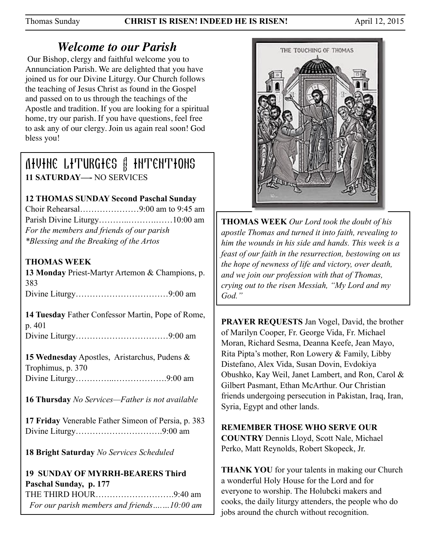# *Welcome to our Parish*

 Our Bishop, clergy and faithful welcome you to Annunciation Parish. We are delighted that you have joined us for our Divine Liturgy. Our Church follows the teaching of Jesus Christ as found in the Gospel and passed on to us through the teachings of the Apostle and tradition. If you are looking for a spiritual home, try our parish. If you have questions, feel free to ask any of our clergy. Join us again real soon! God bless you!

# Divine Liturgies & Intentions **11 SATURDAY—-** NO SERVICES

### **12 THOMAS SUNDAY Second Paschal Sunday**

Choir Rehearsal…………………9:00 am to 9:45 am Parish Divine Liturgy………..……….……10:00 am *For the members and friends of our parish \*Blessing and the Breaking of the Artos* 

### **THOMAS WEEK**

**13 Monday** Priest-Martyr Artemon & Champions, p. 383 Divine Liturgy……………………………9:00 am

**14 Tuesday** Father Confessor Martin, Pope of Rome, p. 401 Divine Liturgy……………………………9:00 am

**15 Wednesday** Apostles, Aristarchus, Pudens & Trophimus, p. 370 Divine Liturgy…………..……………….9:00 am

**16 Thursday** *No Services—Father is not available* 

**17 Friday** Venerable Father Simeon of Persia, p. 383 Divine Liturgy………………………….9:00 am

**18 Bright Saturday** *No Services Scheduled*

**19 SUNDAY OF MYRRH-BEARERS Third Paschal Sunday, p. 177**  THE THIRD HOUR……………………….9:40 am  *For our parish members and friends….…10:00 am* 



**THOMAS WEEK** *Our Lord took the doubt of his apostle Thomas and turned it into faith, revealing to him the wounds in his side and hands. This week is a feast of our faith in the resurrection, bestowing on us the hope of newness of life and victory, over death, and we join our profession with that of Thomas, crying out to the risen Messiah, "My Lord and my God."* 

**PRAYER REQUESTS** Jan Vogel, David, the brother of Marilyn Cooper, Fr. George Vida, Fr. Michael Moran, Richard Sesma, Deanna Keefe, Jean Mayo, Rita Pipta's mother, Ron Lowery & Family, Libby Distefano, Alex Vida, Susan Dovin, Evdokiya Obushko, Kay Weil, Janet Lambert, and Ron, Carol & Gilbert Pasmant, Ethan McArthur. Our Christian friends undergoing persecution in Pakistan, Iraq, Iran, Syria, Egypt and other lands.

### **REMEMBER THOSE WHO SERVE OUR**

**COUNTRY** Dennis Lloyd, Scott Nale, Michael Perko, Matt Reynolds, Robert Skopeck, Jr.

**THANK YOU** for your talents in making our Church a wonderful Holy House for the Lord and for everyone to worship. The Holubcki makers and cooks, the daily liturgy attenders, the people who do jobs around the church without recognition.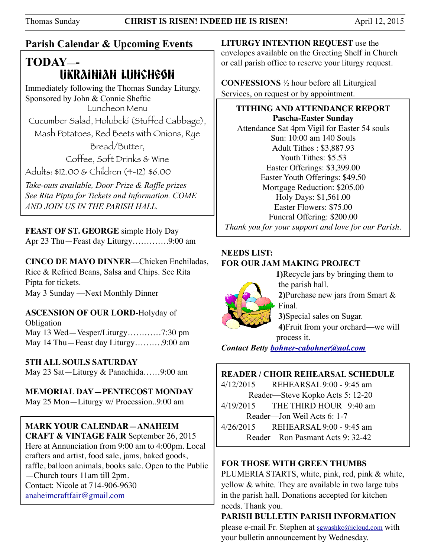#### Thomas Sunday **CHRIST IS RISEN! INDEED HE IS RISEN!** April 12, 2015

# **Parish Calendar & Upcoming Events**

# **TODAY—-**  UKRAINIAN LUNCHEON

Immediately following the Thomas Sunday Liturgy. Sponsored by John & Connie Sheftic Luncheon Menu Cucumber Salad, Holubcki (Stuffed Cabbage), Mash Potatoes, Red Beets with Onions, Rye

> Bread/Butter, Coffee, Soft Drinks & Wine

Adults: \$12.00 & Children (4-12) \$6.00

*Take-outs available, Door Prize & Raffle prizes See Rita Pipta for Tickets and Information. COME AND JOIN US IN THE PARISH HALL.* 

**FEAST OF ST. GEORGE** simple Holy Day Apr 23 Thu—Feast day Liturgy………….9:00 am

### **CINCO DE MAYO DINNER—**Chicken Enchiladas, Rice & Refried Beans, Salsa and Chips. See Rita Pipta for tickets. May 3 Sunday —Next Monthly Dinner

## **ASCENSION OF OUR LORD-**Holyday of

**Obligation** May 13 Wed—Vesper/Liturgy…………7:30 pm May 14 Thu—Feast day Liturgy……….9:00 am

**5TH ALL SOULS SATURDAY**  May 23 Sat—Liturgy & Panachida……9:00 am

### **MEMORIAL DAY—PENTECOST MONDAY**

May 25 Mon—Liturgy w/ Procession..9:00 am

# **MARK YOUR CALENDAR—ANAHEIM**

**CRAFT & VINTAGE FAIR** September 26, 2015 Here at Annunciation from 9:00 am to 4:00pm. Local crafters and artist, food sale, jams, baked goods, raffle, balloon animals, books sale. Open to the Public —Church tours 11am till 2pm. Contact: Nicole at 714-906-9630 [anaheimcraftfair@gmail.com](mailto:anaheimcraftfair@gmail.com)

**LITURGY INTENTION REQUEST** use the envelopes available on the Greeting Shelf in Church or call parish office to reserve your liturgy request.

**CONFESSIONS** ½ hour before all Liturgical Services, on request or by appointment.

#### **TITHING AND ATTENDANCE REPORT Pascha-Easter Sunday**

Attendance Sat 4pm Vigil for Easter 54 souls Sun: 10:00 am 140 Souls Adult Tithes : \$3,887.93 Youth Tithes: \$5.53 Easter Offerings: \$3,399.00 Easter Youth Offerings: \$49.50 Mortgage Reduction: \$205.00 Holy Days: \$1,561.00 Easter Flowers: \$75.00 Funeral Offering: \$200.00 *Thank you for your support and love for our Parish.*

### **NEEDS LIST: FOR OUR JAM MAKING PROJECT**



**1)**Recycle jars by bringing them to the parish hall. **2)**Purchase new jars from Smart & Final. **3)**Special sales on Sugar. **4)**Fruit from your orchard—we will process it.

*Contact Betty [bohner-cabohner@aol.com](mailto:bohner-cabohner@aol.com)*

## **READER / CHOIR REHEARSAL SCHEDULE**

4/12/2015 REHEARSAL 9:00 - 9:45 am Reader—Steve Kopko Acts 5: 12-20 4/19/2015 THE THIRD HOUR 9:40 am

Reader—Jon Weil Acts 6: 1-7

4/26/2015 REHEARSAL 9:00 - 9:45 am Reader—Ron Pasmant Acts 9: 32-42

## **FOR THOSE WITH GREEN THUMBS**

PLUMERIA STARTS, white, pink, red, pink & white, yellow & white. They are available in two large tubs in the parish hall. Donations accepted for kitchen needs. Thank you.

### **PARISH BULLETIN PARISH INFORMATION**

please e-mail Fr. Stephen at [sgwashko@icloud.com](mailto:sgwashko@icloud.com) with your bulletin announcement by Wednesday.